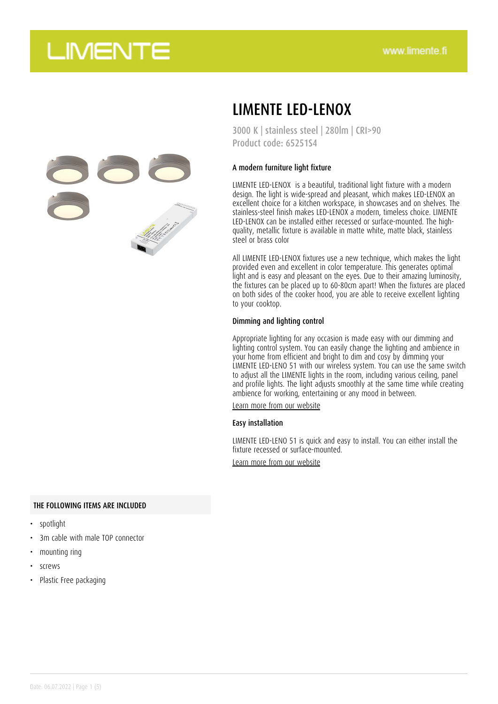

### LIMENTE LED-LENOX

3000 K | stainless steel | 280lm | CRI>90 Product code: 65251S4

### A modern furniture light fixture

LIMENTE LED-LENOX is a beautiful, traditional light fixture with a modern design. The light is wide-spread and pleasant, which makes LED-LENOX an excellent choice for a kitchen workspace, in showcases and on shelves. The stainless-steel finish makes LED-LENOX a modern, timeless choice. LIMENTE LED-LENOX can be installed either recessed or surface-mounted. The highquality, metallic fixture is available in matte white, matte black, stainless steel or brass color

All LIMENTE LED-LENOX fixtures use a new technique, which makes the light provided even and excellent in color temperature. This generates optimal light and is easy and pleasant on the eyes. Due to their amazing luminosity, the fixtures can be placed up to 60-80cm apart! When the fixtures are placed on both sides of the cooker hood, you are able to receive excellent lighting to your cooktop.

#### Dimming and lighting control

Appropriate lighting for any occasion is made easy with our dimming and lighting control system. You can easily change the lighting and ambience in your home from efficient and bright to dim and cosy by dimming your LIMENTE LED-LENO 51 with our wireless system. You can use the same switch to adjust all the LIMENTE lights in the room, including various ceiling, panel and profile lights. The light adjusts smoothly at the same time while creating ambience for working, entertaining or any mood in between.

[Learn more from our website](https://www.limente.fi/tuotteet/65251S4)

#### Easy installation

LIMENTE LED-LENO 51 is quick and easy to install. You can either install the fixture recessed or surface-mounted.

[Learn more from our website](https://www.limente.fi/tuotteet/65251S4)

#### THE FOLLOWING ITEMS ARE INCLUDED

- spotlight
- 3m cable with male TOP connector
- mounting ring
- screws
- Plastic Free packaging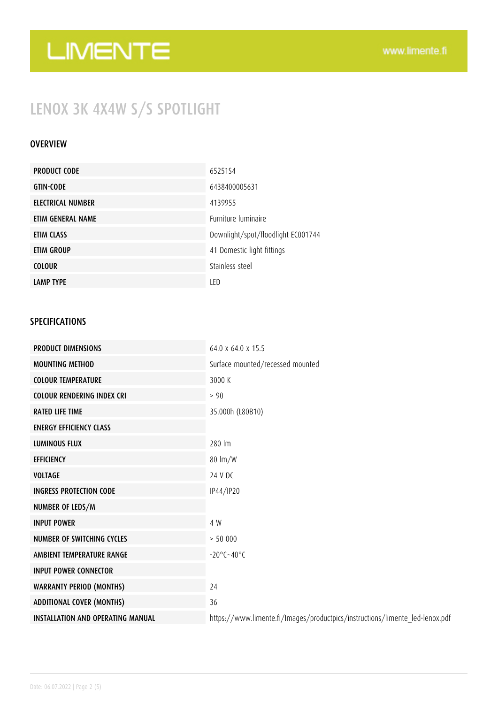## LENOX 3K 4X4W S/S SPOTLIGHT

### **OVERVIEW**

| <b>PRODUCT CODE</b> | 6525154                            |
|---------------------|------------------------------------|
| <b>GTIN-CODE</b>    | 6438400005631                      |
| ELECTRICAL NUMBER   | 4139955                            |
| ETIM GENERAL NAME   | Furniture luminaire                |
| ETIM CLASS          | Downlight/spot/floodlight EC001744 |
| ETIM GROUP          | 41 Domestic light fittings         |
| <b>COLOUR</b>       | Stainless steel                    |
| <b>LAMP TYPE</b>    | LED                                |

### SPECIFICATIONS

| <b>PRODUCT DIMENSIONS</b>                | 64.0 x 64.0 x 15.5                                                           |
|------------------------------------------|------------------------------------------------------------------------------|
| <b>MOUNTING METHOD</b>                   | Surface mounted/recessed mounted                                             |
| <b>COLOUR TEMPERATURE</b>                | 3000 K                                                                       |
| <b>COLOUR RENDERING INDEX CRI</b>        | > 90                                                                         |
| <b>RATED LIFE TIME</b>                   | 35.000h (L80B10)                                                             |
| <b>ENERGY EFFICIENCY CLASS</b>           |                                                                              |
| <b>LUMINOUS FLUX</b>                     | 280 lm                                                                       |
| <b>EFFICIENCY</b>                        | $80 \text{ Im}/W$                                                            |
| <b>VOLTAGE</b>                           | 24 V DC                                                                      |
| <b>INGRESS PROTECTION CODE</b>           | IP44/IP20                                                                    |
| NUMBER OF LEDS/M                         |                                                                              |
| <b>INPUT POWER</b>                       | 4 W                                                                          |
| NUMBER OF SWITCHING CYCLES               | > 50000                                                                      |
| AMBIENT TEMPERATURE RANGE                | $-20^{\circ}$ C $-40^{\circ}$ C                                              |
| <b>INPUT POWER CONNECTOR</b>             |                                                                              |
| <b>WARRANTY PERIOD (MONTHS)</b>          | 24                                                                           |
| <b>ADDITIONAL COVER (MONTHS)</b>         | 36                                                                           |
| <b>INSTALLATION AND OPERATING MANUAL</b> | https://www.limente.fi/Images/productpics/instructions/limente_led-lenox.pdf |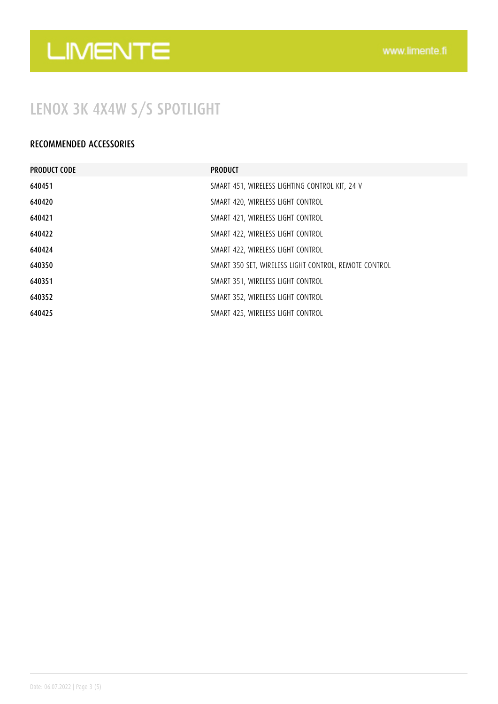## LENOX 3K 4X4W S/S SPOTLIGHT

### RECOMMENDED ACCESSORIES

| <b>PRODUCT CODE</b> | <b>PRODUCT</b>                                        |
|---------------------|-------------------------------------------------------|
| 640451              | SMART 451, WIRELESS LIGHTING CONTROL KIT, 24 V        |
| 640420              | SMART 420, WIRELESS LIGHT CONTROL                     |
| 640421              | SMART 421, WIRELESS LIGHT CONTROL                     |
| 640422              | SMART 422, WIRELESS LIGHT CONTROL                     |
| 640424              | SMART 422, WIRELESS LIGHT CONTROL                     |
| 640350              | SMART 350 SET, WIRELESS LIGHT CONTROL, REMOTE CONTROL |
| 640351              | SMART 351, WIRELESS LIGHT CONTROL                     |
| 640352              | SMART 352, WIRELESS LIGHT CONTROL                     |
| 640425              | SMART 425, WIRELESS LIGHT CONTROL                     |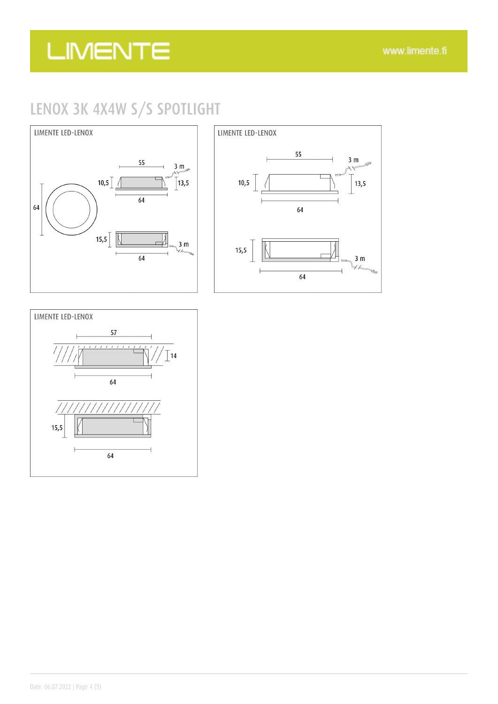## LENOX 3K 4X4W S/S SPOTLIGHT